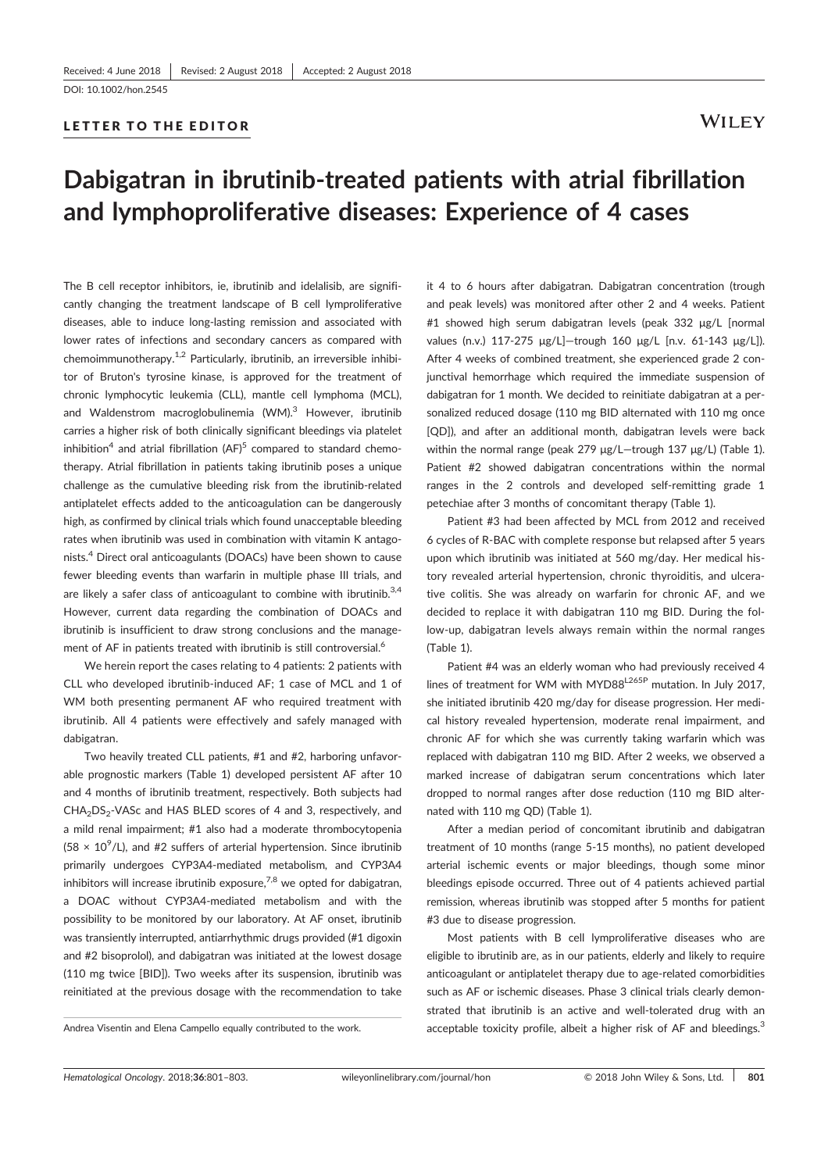LETTER TO THE EDITOR

# Dabigatran in ibrutinib‐treated patients with atrial fibrillation and lymphoproliferative diseases: Experience of 4 cases

The B cell receptor inhibitors, ie, ibrutinib and idelalisib, are significantly changing the treatment landscape of B cell lymproliferative diseases, able to induce long‐lasting remission and associated with lower rates of infections and secondary cancers as compared with chemoimmunotherapy. $1,2$  Particularly, ibrutinib, an irreversible inhibitor of Bruton's tyrosine kinase, is approved for the treatment of chronic lymphocytic leukemia (CLL), mantle cell lymphoma (MCL), and Waldenstrom macroglobulinemia  $(WM)^3$  However, ibrutinib carries a higher risk of both clinically significant bleedings via platelet inhibition<sup>4</sup> and atrial fibrillation (AF)<sup>5</sup> compared to standard chemotherapy. Atrial fibrillation in patients taking ibrutinib poses a unique challenge as the cumulative bleeding risk from the ibrutinib-related antiplatelet effects added to the anticoagulation can be dangerously high, as confirmed by clinical trials which found unacceptable bleeding rates when ibrutinib was used in combination with vitamin K antagonists.4 Direct oral anticoagulants (DOACs) have been shown to cause fewer bleeding events than warfarin in multiple phase III trials, and are likely a safer class of anticoagulant to combine with ibrutinib. $3,4$ However, current data regarding the combination of DOACs and ibrutinib is insufficient to draw strong conclusions and the management of AF in patients treated with ibrutinib is still controversial.<sup>6</sup>

We herein report the cases relating to 4 patients: 2 patients with CLL who developed ibrutinib‐induced AF; 1 case of MCL and 1 of WM both presenting permanent AF who required treatment with ibrutinib. All 4 patients were effectively and safely managed with dabigatran.

Two heavily treated CLL patients, #1 and #2, harboring unfavorable prognostic markers (Table 1) developed persistent AF after 10 and 4 months of ibrutinib treatment, respectively. Both subjects had CHA<sub>2</sub>DS<sub>2</sub>-VASc and HAS BLED scores of 4 and 3, respectively, and a mild renal impairment; #1 also had a moderate thrombocytopenia  $(58 \times 10^9$ /L), and #2 suffers of arterial hypertension. Since ibrutinib primarily undergoes CYP3A4‐mediated metabolism, and CYP3A4 inhibitors will increase ibrutinib exposure,<sup>7,8</sup> we opted for dabigatran, a DOAC without CYP3A4‐mediated metabolism and with the possibility to be monitored by our laboratory. At AF onset, ibrutinib was transiently interrupted, antiarrhythmic drugs provided (#1 digoxin and #2 bisoprolol), and dabigatran was initiated at the lowest dosage (110 mg twice [BID]). Two weeks after its suspension, ibrutinib was reinitiated at the previous dosage with the recommendation to take

it 4 to 6 hours after dabigatran. Dabigatran concentration (trough and peak levels) was monitored after other 2 and 4 weeks. Patient #1 showed high serum dabigatran levels (peak 332 μg/L [normal values (n.v.) 117‐275 μg/L]—trough 160 μg/L [n.v. 61‐143 μg/L]). After 4 weeks of combined treatment, she experienced grade 2 conjunctival hemorrhage which required the immediate suspension of dabigatran for 1 month. We decided to reinitiate dabigatran at a personalized reduced dosage (110 mg BID alternated with 110 mg once [QD]), and after an additional month, dabigatran levels were back within the normal range (peak 279 μg/L—trough 137 μg/L) (Table 1). Patient #2 showed dabigatran concentrations within the normal ranges in the 2 controls and developed self‐remitting grade 1 petechiae after 3 months of concomitant therapy (Table 1).

Patient #3 had been affected by MCL from 2012 and received 6 cycles of R‐BAC with complete response but relapsed after 5 years upon which ibrutinib was initiated at 560 mg/day. Her medical history revealed arterial hypertension, chronic thyroiditis, and ulcerative colitis. She was already on warfarin for chronic AF, and we decided to replace it with dabigatran 110 mg BID. During the follow‐up, dabigatran levels always remain within the normal ranges (Table 1).

Patient #4 was an elderly woman who had previously received 4 lines of treatment for WM with MYD88<sup>L265P</sup> mutation. In July 2017, she initiated ibrutinib 420 mg/day for disease progression. Her medical history revealed hypertension, moderate renal impairment, and chronic AF for which she was currently taking warfarin which was replaced with dabigatran 110 mg BID. After 2 weeks, we observed a marked increase of dabigatran serum concentrations which later dropped to normal ranges after dose reduction (110 mg BID alternated with 110 mg QD) (Table 1).

After a median period of concomitant ibrutinib and dabigatran treatment of 10 months (range 5‐15 months), no patient developed arterial ischemic events or major bleedings, though some minor bleedings episode occurred. Three out of 4 patients achieved partial remission, whereas ibrutinib was stopped after 5 months for patient #3 due to disease progression.

Most patients with B cell lymproliferative diseases who are eligible to ibrutinib are, as in our patients, elderly and likely to require anticoagulant or antiplatelet therapy due to age‐related comorbidities such as AF or ischemic diseases. Phase 3 clinical trials clearly demonstrated that ibrutinib is an active and well-tolerated drug with an Andrea Visentin and Elena Campello equally contributed to the work. acceptable toxicity profile, albeit a higher risk of AF and bleedings.<sup>3</sup>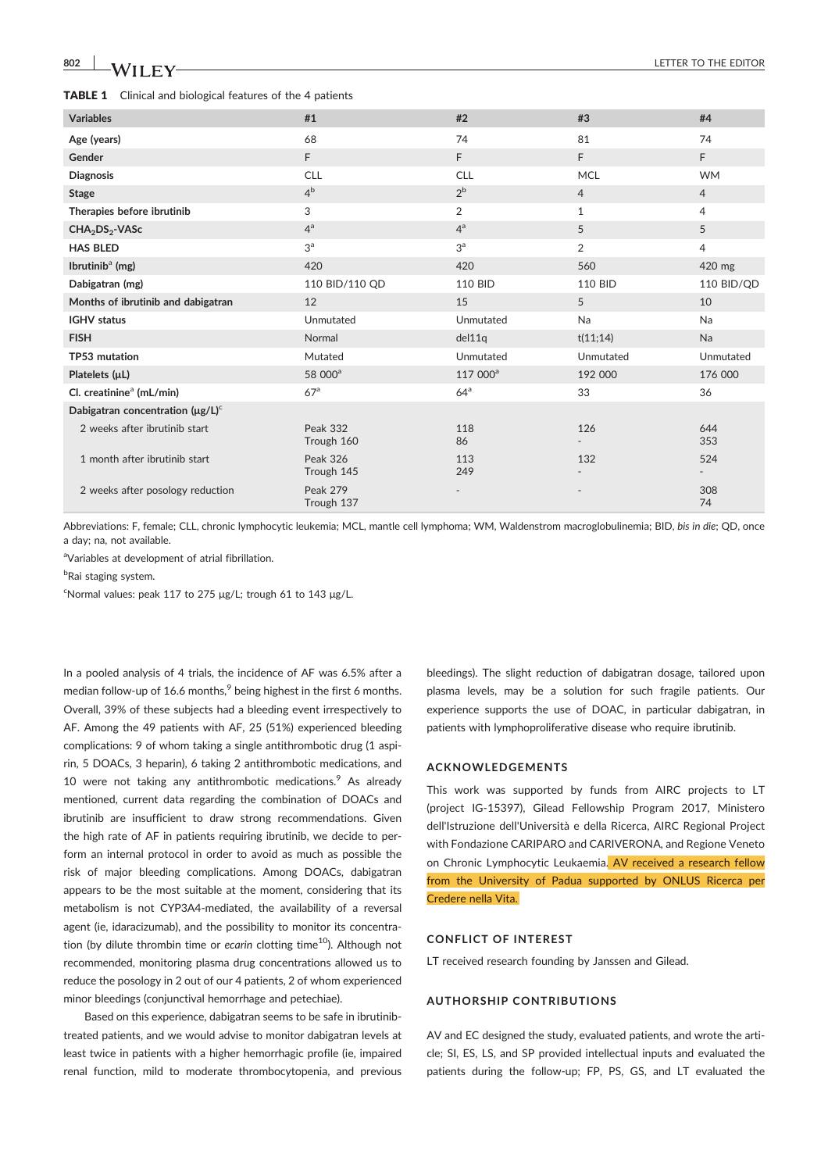## **802 WILEY WELL ASSESSED ASSESSED ASSESSED.**

| <b>TABLE 1</b> Clinical and biological features of the 4 patients |
|-------------------------------------------------------------------|
|-------------------------------------------------------------------|

| <b>Variables</b>                       | #1                            | #2                   | #3             | #4             |
|----------------------------------------|-------------------------------|----------------------|----------------|----------------|
| Age (years)                            | 68                            | 74                   | 81             | 74             |
| Gender                                 | F                             | F                    | F.             | F              |
| <b>Diagnosis</b>                       | <b>CLL</b>                    | <b>CLL</b>           | <b>MCL</b>     | <b>WM</b>      |
| <b>Stage</b>                           | 4 <sup>b</sup>                | $2^{\rm b}$          | $\overline{4}$ | $\overline{4}$ |
| Therapies before ibrutinib             | 3                             | $\overline{2}$       | 1              | 4              |
| CHA <sub>2</sub> DS <sub>2</sub> -VASc | 4 <sup>a</sup>                | $4^a$                | 5              | 5              |
| <b>HAS BLED</b>                        | 3 <sup>a</sup>                | 3 <sup>a</sup>       | $\overline{2}$ | $\overline{4}$ |
| Ibrutini $b^a$ (mg)                    | 420                           | 420                  | 560            | 420 mg         |
| Dabigatran (mg)                        | 110 BID/110 QD                | <b>110 BID</b>       | 110 BID        | 110 BID/QD     |
| Months of ibrutinib and dabigatran     | 12                            | 15                   | 5              | 10             |
| <b>IGHV</b> status                     | Unmutated                     | Unmutated            | <b>Na</b>      | Na             |
| <b>FISH</b>                            | Normal                        | del11q               | t(11;14)       | Na             |
| TP53 mutation                          | Mutated                       | Unmutated            | Unmutated      | Unmutated      |
| Platelets $(\mu L)$                    | 58 000 <sup>a</sup>           | 117 000 <sup>a</sup> | 192 000        | 176 000        |
| Cl. creatinine <sup>a</sup> (mL/min)   | 67 <sup>a</sup>               | 64 <sup>a</sup>      | 33             | 36             |
| Dabigatran concentration $(\mu g/L)^c$ |                               |                      |                |                |
| 2 weeks after ibrutinib start          | <b>Peak 332</b><br>Trough 160 | 118<br>86            | 126            | 644<br>353     |
| 1 month after ibrutinib start          | <b>Peak 326</b><br>Trough 145 | 113<br>249           | 132            | 524            |
| 2 weeks after posology reduction       | <b>Peak 279</b><br>Trough 137 |                      |                | 308<br>74      |

Abbreviations: F, female; CLL, chronic lymphocytic leukemia; MCL, mantle cell lymphoma; WM, Waldenstrom macroglobulinemia; BID, bis in die; QD, once a day; na, not available.

<sup>a</sup>Variables at development of atrial fibrillation.

<sup>b</sup>Rai staging system.

<sup>c</sup>Normal values: peak 117 to 275 μg/L; trough 61 to 143 μg/L.

In a pooled analysis of 4 trials, the incidence of AF was 6.5% after a median follow-up of 16.6 months, $9$  being highest in the first 6 months. Overall, 39% of these subjects had a bleeding event irrespectively to AF. Among the 49 patients with AF, 25 (51%) experienced bleeding complications: 9 of whom taking a single antithrombotic drug (1 aspirin, 5 DOACs, 3 heparin), 6 taking 2 antithrombotic medications, and 10 were not taking any antithrombotic medications. As already mentioned, current data regarding the combination of DOACs and ibrutinib are insufficient to draw strong recommendations. Given the high rate of AF in patients requiring ibrutinib, we decide to perform an internal protocol in order to avoid as much as possible the risk of major bleeding complications. Among DOACs, dabigatran appears to be the most suitable at the moment, considering that its metabolism is not CYP3A4‐mediated, the availability of a reversal agent (ie, idaracizumab), and the possibility to monitor its concentration (by dilute thrombin time or ecarin clotting time<sup>10</sup>). Although not recommended, monitoring plasma drug concentrations allowed us to reduce the posology in 2 out of our 4 patients, 2 of whom experienced minor bleedings (conjunctival hemorrhage and petechiae).

Based on this experience, dabigatran seems to be safe in ibrutinib‐ treated patients, and we would advise to monitor dabigatran levels at least twice in patients with a higher hemorrhagic profile (ie, impaired renal function, mild to moderate thrombocytopenia, and previous bleedings). The slight reduction of dabigatran dosage, tailored upon plasma levels, may be a solution for such fragile patients. Our experience supports the use of DOAC, in particular dabigatran, in patients with lymphoproliferative disease who require ibrutinib.

#### ACKNOWLEDGEMENTS

This work was supported by funds from AIRC projects to LT (project IG‐15397), Gilead Fellowship Program 2017, Ministero dell'Istruzione dell'Università e della Ricerca, AIRC Regional Project with Fondazione CARIPARO and CARIVERONA, and Regione Veneto on Chronic Lymphocytic Leukaemia. AV received a research fellow from the University of Padua supported by ONLUS Ricerca per Credere nella Vita.

### CONFLICT OF INTEREST

LT received research founding by Janssen and Gilead.

#### AUTHORSHIP CONTRIBUTIONS

AV and EC designed the study, evaluated patients, and wrote the article; SI, ES, LS, and SP provided intellectual inputs and evaluated the patients during the follow-up; FP, PS, GS, and LT evaluated the